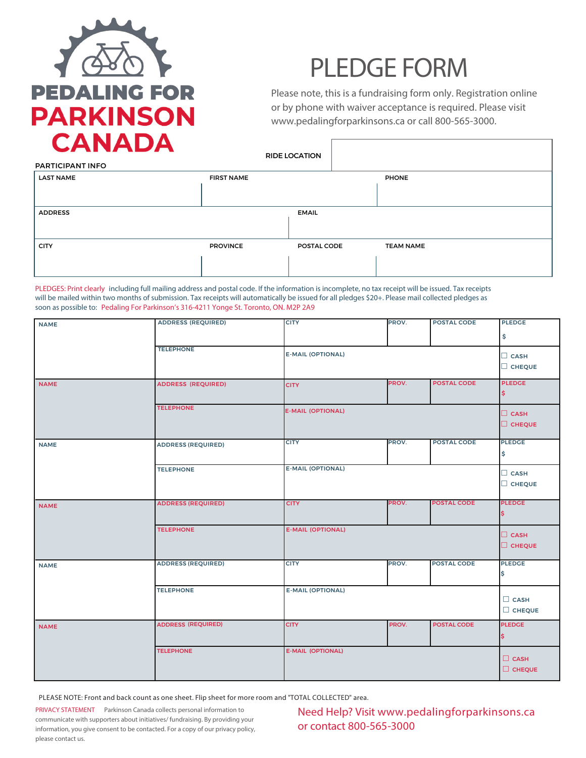

## **PLEDGE FORM**

Please note, this is a fundraising form only. Registration online or by phone with waiver acceptance is required. Please visit www.pedalingforparkinsons.ca or call 800-565-3000.

| CANADA                  |                   | <b>RIDE LOCATION</b> |                  |
|-------------------------|-------------------|----------------------|------------------|
| <b>PARTICIPANT INFO</b> |                   |                      |                  |
| <b>LAST NAME</b>        | <b>FIRST NAME</b> |                      | <b>PHONE</b>     |
|                         |                   |                      |                  |
| <b>ADDRESS</b>          |                   | <b>EMAIL</b>         |                  |
|                         |                   |                      |                  |
| <b>CITY</b>             | <b>PROVINCE</b>   | POSTAL CODE          | <b>TEAM NAME</b> |
|                         |                   |                      |                  |

*PLEDGES: Print clearly* including full mailing address and postal code. If the information is incomplete, no tax receipt will be issued. Tax receipts will be mailed within two months of submission. Tax receipts will automatically be issued for all pledges \$20+. Please mail collected pledges as soon as possible to: Pedaling For Parkinson's 316-4211 Yonge St. Toronto, ON. M2P 2A9

| <b>NAME</b> | <b>ADDRESS (REQUIRED)</b> | <b>CITY</b>              | PROV. | <b>POSTAL CODE</b> | <b>PLEDGE</b><br>\$          |
|-------------|---------------------------|--------------------------|-------|--------------------|------------------------------|
|             | <b>TELEPHONE</b>          | <b>E-MAIL (OPTIONAL)</b> |       |                    | $\Box$ CASH<br>C CHEQUE      |
| <b>NAME</b> | <b>ADDRESS (REQUIRED)</b> | <b>CITY</b>              | PROV. | <b>POSTAL CODE</b> | <b>PLEDGE</b><br>\$          |
|             | <b>TELEPHONE</b>          | <b>E-MAIL (OPTIONAL)</b> |       |                    | $\Box$ CASH<br>CHEQUE        |
| <b>NAME</b> | <b>ADDRESS (REQUIRED)</b> | <b>CITY</b>              | PROV. | <b>POSTAL CODE</b> | <b>PLEDGE</b><br>\$          |
|             | <b>TELEPHONE</b>          | <b>E-MAIL (OPTIONAL)</b> |       |                    | $\Box$ CASH<br>CHEQUE        |
| <b>NAME</b> | <b>ADDRESS (REQUIRED)</b> | <b>CITY</b>              | PROV. | <b>POSTAL CODE</b> | <b>PLEDGE</b><br>I\$.        |
|             | <b>TELEPHONE</b>          | <b>E-MAIL (OPTIONAL)</b> |       |                    | $\Box$ CASH<br>CHEQUE        |
| <b>NAME</b> | <b>ADDRESS (REQUIRED)</b> | <b>CITY</b>              | PROV. | <b>POSTAL CODE</b> | <b>PLEDGE</b><br>\$          |
|             | <b>TELEPHONE</b>          | <b>E-MAIL (OPTIONAL)</b> |       |                    | $\Box$ CASH<br>$\Box$ CHEQUE |
| <b>NAME</b> | <b>ADDRESS (REQUIRED)</b> | <b>CITY</b>              | PROV. | POSTAL CODE        | <b>PLEDGE</b><br>I\$.        |
|             | <b>TELEPHONE</b>          | <b>E-MAIL (OPTIONAL)</b> |       |                    | $\Box$ CASH<br>$\Box$ CHEQUE |

PLEASE NOTE: Front and back count as one sheet. Flip sheet for more room and "TOTAL COLLECTED" area.

**PRIVACY STATEMENT** Parkinson Canada collects personal information to communicate with supporters about initiatives/ fundraising. By providing your information, you give consent to be contacted. For a copy of our privacy policy, please contact us.

Need Help? Visit www.pedalingforparkinsons.ca or contact 800-565-3000